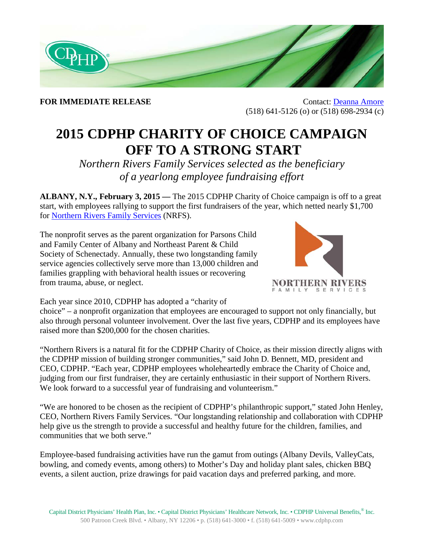

**FOR IMMEDIATE RELEASE** Contact: [Deanna Amore](mailto:Deanna.Amore-Mies@cdphp.com) (518) 641-5126 (o) or (518) 698-2934 (c)

## **2015 CDPHP CHARITY OF CHOICE CAMPAIGN OFF TO A STRONG START**

*Northern Rivers Family Services selected as the beneficiary of a yearlong employee fundraising effort* 

**ALBANY, N.Y., February 3, 2015 —** The 2015 CDPHP Charity of Choice campaign is off to a great start, with employees rallying to support the first fundraisers of the year, which netted nearly \$1,700 for [Northern Rivers Family Services](http://www.northernrivers.org/) (NRFS).

The nonprofit serves as the parent organization for Parsons Child and Family Center of Albany and Northeast Parent & Child Society of Schenectady. Annually, these two longstanding family service agencies collectively serve more than 13,000 children and families grappling with behavioral health issues or recovering from trauma, abuse, or neglect.



Each year since 2010, CDPHP has adopted a "charity of

choice" – a nonprofit organization that employees are encouraged to support not only financially, but also through personal volunteer involvement. Over the last five years, CDPHP and its employees have raised more than \$200,000 for the chosen charities.

"Northern Rivers is a natural fit for the CDPHP Charity of Choice, as their mission directly aligns with the CDPHP mission of building stronger communities," said John D. Bennett, MD, president and CEO, CDPHP. "Each year, CDPHP employees wholeheartedly embrace the Charity of Choice and, judging from our first fundraiser, they are certainly enthusiastic in their support of Northern Rivers. We look forward to a successful year of fundraising and volunteerism."

"We are honored to be chosen as the recipient of CDPHP's philanthropic support," stated John Henley, CEO, Northern Rivers Family Services. "Our longstanding relationship and collaboration with CDPHP help give us the strength to provide a successful and healthy future for the children, families, and communities that we both serve."

Employee-based fundraising activities have run the gamut from outings (Albany Devils, ValleyCats, bowling, and comedy events, among others) to Mother's Day and holiday plant sales, chicken BBQ events, a silent auction, prize drawings for paid vacation days and preferred parking, and more.